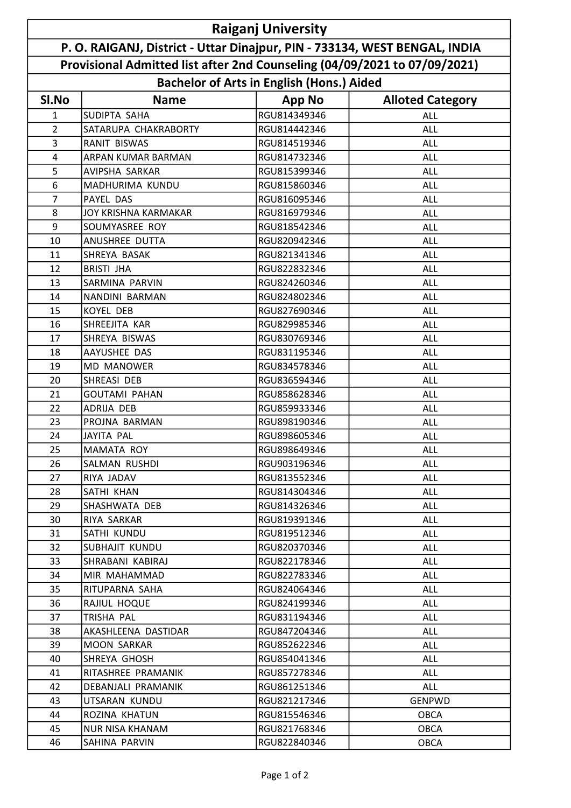| <b>Raiganj University</b>                                                  |                             |                                                  |                         |  |  |
|----------------------------------------------------------------------------|-----------------------------|--------------------------------------------------|-------------------------|--|--|
| P. O. RAIGANJ, District - Uttar Dinajpur, PIN - 733134, WEST BENGAL, INDIA |                             |                                                  |                         |  |  |
| Provisional Admitted list after 2nd Counseling (04/09/2021 to 07/09/2021)  |                             |                                                  |                         |  |  |
|                                                                            |                             | <b>Bachelor of Arts in English (Hons.) Aided</b> |                         |  |  |
| SI.No                                                                      | <b>Name</b>                 | <b>App No</b>                                    | <b>Alloted Category</b> |  |  |
| 1                                                                          | SUDIPTA SAHA                | RGU814349346                                     | <b>ALL</b>              |  |  |
| 2                                                                          | SATARUPA CHAKRABORTY        | RGU814442346                                     | <b>ALL</b>              |  |  |
| 3                                                                          | <b>RANIT BISWAS</b>         | RGU814519346                                     | <b>ALL</b>              |  |  |
| 4                                                                          | <b>ARPAN KUMAR BARMAN</b>   | RGU814732346                                     | <b>ALL</b>              |  |  |
| 5                                                                          | AVIPSHA SARKAR              | RGU815399346                                     | <b>ALL</b>              |  |  |
| 6                                                                          | MADHURIMA KUNDU             | RGU815860346                                     | <b>ALL</b>              |  |  |
| 7                                                                          | <b>PAYEL DAS</b>            | RGU816095346                                     | ALL                     |  |  |
| 8                                                                          | <b>JOY KRISHNA KARMAKAR</b> | RGU816979346                                     | ALL                     |  |  |
| 9                                                                          | SOUMYASREE ROY              | RGU818542346                                     | <b>ALL</b>              |  |  |
| 10                                                                         | ANUSHREE DUTTA              | RGU820942346                                     | <b>ALL</b>              |  |  |
| 11                                                                         | SHREYA BASAK                | RGU821341346                                     | <b>ALL</b>              |  |  |
| 12                                                                         | <b>BRISTI JHA</b>           | RGU822832346                                     | <b>ALL</b>              |  |  |
| 13                                                                         | SARMINA PARVIN              | RGU824260346                                     | ALL                     |  |  |
| 14                                                                         | NANDINI BARMAN              | RGU824802346                                     | ALL                     |  |  |
| 15                                                                         | <b>KOYEL DEB</b>            | RGU827690346                                     | <b>ALL</b>              |  |  |
| 16                                                                         | SHREEJITA KAR               | RGU829985346                                     | <b>ALL</b>              |  |  |
| 17                                                                         | SHREYA BISWAS               | RGU830769346                                     | <b>ALL</b>              |  |  |
| 18                                                                         | AAYUSHEE DAS                | RGU831195346                                     | <b>ALL</b>              |  |  |
| 19                                                                         | <b>MD MANOWER</b>           | RGU834578346                                     | <b>ALL</b>              |  |  |
| 20                                                                         | SHREASI DEB                 | RGU836594346                                     | ALL                     |  |  |
| 21                                                                         | <b>GOUTAMI PAHAN</b>        | RGU858628346                                     | <b>ALL</b>              |  |  |
| 22                                                                         | ADRIJA DEB                  | RGU859933346                                     | <b>ALL</b>              |  |  |
| 23                                                                         | PROJNA BARMAN               | RGU898190346                                     | <b>ALL</b>              |  |  |
| 24                                                                         | <b>JAYITA PAL</b>           | RGU898605346                                     | ALL                     |  |  |
| 25                                                                         | MAMATA ROY                  | RGU898649346                                     | <b>ALL</b>              |  |  |
| 26                                                                         | SALMAN RUSHDI               | RGU903196346                                     | ALL                     |  |  |
| 27                                                                         | RIYA JADAV                  | RGU813552346                                     | ALL                     |  |  |
| 28                                                                         | SATHI KHAN                  | RGU814304346                                     | ALL                     |  |  |
| 29                                                                         | SHASHWATA DEB               | RGU814326346                                     | ALL                     |  |  |
| 30                                                                         | RIYA SARKAR                 | RGU819391346                                     | ALL                     |  |  |
| 31                                                                         | SATHI KUNDU                 | RGU819512346                                     | ALL                     |  |  |
| 32                                                                         | SUBHAJIT KUNDU              | RGU820370346                                     | ALL                     |  |  |
| 33                                                                         | SHRABANI KABIRAJ            | RGU822178346                                     | ALL                     |  |  |
| 34                                                                         | MIR MAHAMMAD                | RGU822783346                                     | ALL                     |  |  |
| 35                                                                         | RITUPARNA SAHA              | RGU824064346                                     | ALL                     |  |  |
| 36                                                                         | RAJIUL HOQUE                | RGU824199346                                     | ALL                     |  |  |
| 37                                                                         | TRISHA PAL                  | RGU831194346                                     | ALL                     |  |  |
| 38                                                                         | AKASHLEENA DASTIDAR         | RGU847204346                                     | <b>ALL</b>              |  |  |
| 39                                                                         | <b>MOON SARKAR</b>          | RGU852622346                                     | ALL                     |  |  |
| 40                                                                         | SHREYA GHOSH                | RGU854041346                                     | ALL                     |  |  |
| 41                                                                         | RITASHREE PRAMANIK          | RGU857278346                                     | ALL                     |  |  |
| 42                                                                         | DEBANJALI PRAMANIK          | RGU861251346                                     | ALL                     |  |  |
| 43                                                                         | UTSARAN KUNDU               | RGU821217346                                     | GENPWD                  |  |  |
| 44                                                                         | ROZINA KHATUN               | RGU815546346                                     | <b>OBCA</b>             |  |  |
| 45                                                                         | <b>NUR NISA KHANAM</b>      | RGU821768346                                     | <b>OBCA</b>             |  |  |
| 46                                                                         | SAHINA PARVIN               | RGU822840346                                     | <b>OBCA</b>             |  |  |